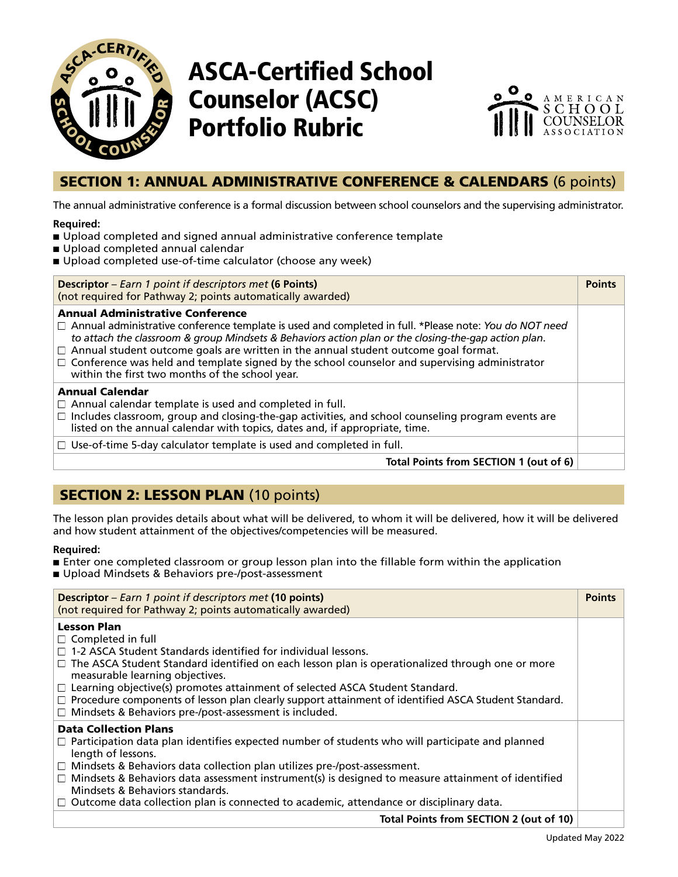

# **ASCA-Certified School** Counselor (ACSC) Portfolio Rubric monder (FR)



## SECTION 1: ANNUAL ADMINISTRATIVE CONFERENCE & CALENDARS (6 points)

The annual administrative conference is a formal discussion between school counselors and the supervising administrator.

## **Required:**

- Upload completed and signed annual administrative conference template
- Upload completed annual calendar
- Upload completed use-of-time calculator (choose any week)

| <b>Descriptor</b> – Earn 1 point if descriptors met (6 Points)<br>(not required for Pathway 2; points automatically awarded)                                                                                                                                                                                                                                                                                                                                                                                              | <b>Points</b> |
|---------------------------------------------------------------------------------------------------------------------------------------------------------------------------------------------------------------------------------------------------------------------------------------------------------------------------------------------------------------------------------------------------------------------------------------------------------------------------------------------------------------------------|---------------|
| <b>Annual Administrative Conference</b><br>$\Box$ Annual administrative conference template is used and completed in full. *Please note: You do NOT need<br>to attach the classroom & group Mindsets & Behaviors action plan or the closing-the-gap action plan.<br>$\Box$ Annual student outcome goals are written in the annual student outcome goal format.<br>$\Box$ Conference was held and template signed by the school counselor and supervising administrator<br>within the first two months of the school year. |               |
| <b>Annual Calendar</b><br>$\Box$ Annual calendar template is used and completed in full.<br>$\Box$ Includes classroom, group and closing-the-gap activities, and school counseling program events are<br>listed on the annual calendar with topics, dates and, if appropriate, time.                                                                                                                                                                                                                                      |               |
| $\Box$ Use-of-time 5-day calculator template is used and completed in full.                                                                                                                                                                                                                                                                                                                                                                                                                                               |               |
| Total Points from SECTION 1 (out of 6)                                                                                                                                                                                                                                                                                                                                                                                                                                                                                    |               |

# **SECTION 2: LESSON PLAN (10 points)**

The lesson plan provides details about what will be delivered, to whom it will be delivered, how it will be delivered and how student attainment of the objectives/competencies will be measured.

## **Required:**

- Enter one completed classroom or group lesson plan into the fillable form within the application
- Upload Mindsets & Behaviors pre-/post-assessment

| Descriptor - Earn 1 point if descriptors met (10 points)<br>(not required for Pathway 2; points automatically awarded)                                                                                                                                                                                                                                                                                                                                                                                                                    | <b>Points</b> |
|-------------------------------------------------------------------------------------------------------------------------------------------------------------------------------------------------------------------------------------------------------------------------------------------------------------------------------------------------------------------------------------------------------------------------------------------------------------------------------------------------------------------------------------------|---------------|
| <b>Lesson Plan</b><br>$\Box$ Completed in full<br>$\Box$ 1-2 ASCA Student Standards identified for individual lessons.<br>$\Box$ The ASCA Student Standard identified on each lesson plan is operationalized through one or more<br>measurable learning objectives.<br>$\Box$ Learning objective(s) promotes attainment of selected ASCA Student Standard.<br>$\Box$ Procedure components of lesson plan clearly support attainment of identified ASCA Student Standard.<br>$\Box$ Mindsets & Behaviors pre-/post-assessment is included. |               |
| <b>Data Collection Plans</b><br>$\Box$ Participation data plan identifies expected number of students who will participate and planned<br>length of lessons.<br>$\Box$ Mindsets & Behaviors data collection plan utilizes pre-/post-assessment.<br>$\Box$ Mindsets & Behaviors data assessment instrument(s) is designed to measure attainment of identified<br>Mindsets & Behaviors standards.<br>$\Box$ Outcome data collection plan is connected to academic, attendance or disciplinary data.                                         |               |
| Total Points from SECTION 2 (out of 10)                                                                                                                                                                                                                                                                                                                                                                                                                                                                                                   |               |